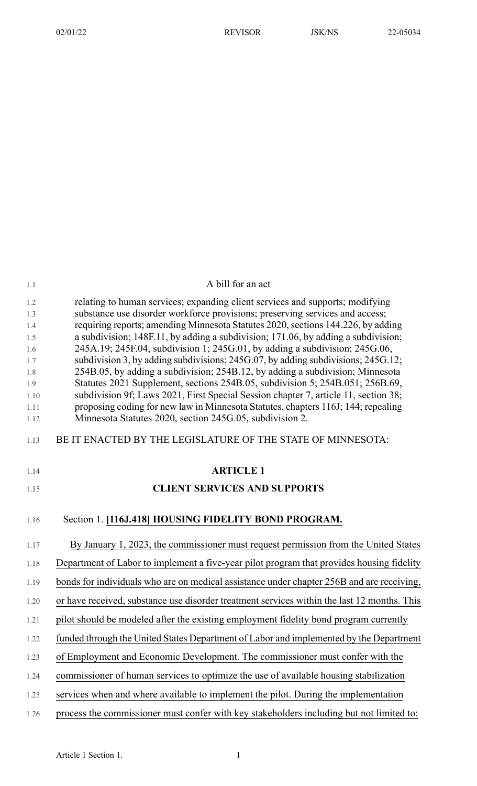| 1.1        | A bill for an act                                                                                                                                                |
|------------|------------------------------------------------------------------------------------------------------------------------------------------------------------------|
| 1.2        | relating to human services; expanding client services and supports; modifying                                                                                    |
| 1.3        | substance use disorder workforce provisions; preserving services and access;                                                                                     |
| 1.4        | requiring reports; amending Minnesota Statutes 2020, sections 144.226, by adding                                                                                 |
| 1.5<br>1.6 | a subdivision; 148F.11, by adding a subdivision; 171.06, by adding a subdivision;<br>245A.19; 245F.04, subdivision 1; 245G.01, by adding a subdivision; 245G.06, |
| 1.7        | subdivision 3, by adding subdivisions; 245G.07, by adding subdivisions; 245G.12;                                                                                 |
| 1.8        | 254B.05, by adding a subdivision; 254B.12, by adding a subdivision; Minnesota                                                                                    |
| 1.9        | Statutes 2021 Supplement, sections 254B.05, subdivision 5; 254B.051; 256B.69,                                                                                    |
| 1.10       | subdivision 9f; Laws 2021, First Special Session chapter 7, article 11, section 38;                                                                              |
| 1.11       | proposing coding for new law in Minnesota Statutes, chapters 116J; 144; repealing                                                                                |
| 1.12       | Minnesota Statutes 2020, section 245G.05, subdivision 2.                                                                                                         |
| 1.13       | BE IT ENACTED BY THE LEGISLATURE OF THE STATE OF MINNESOTA:                                                                                                      |
| 1.14       | <b>ARTICLE 1</b>                                                                                                                                                 |
|            |                                                                                                                                                                  |
| 1.15       | <b>CLIENT SERVICES AND SUPPORTS</b>                                                                                                                              |
| 1.16       | Section 1. [116J.418] HOUSING FIDELITY BOND PROGRAM.                                                                                                             |
|            |                                                                                                                                                                  |
| 1.17       | By January 1, 2023, the commissioner must request permission from the United States                                                                              |
| 1.18       | Department of Labor to implement a five-year pilot program that provides housing fidelity                                                                        |
| 1.19       | bonds for individuals who are on medical assistance under chapter 256B and are receiving,                                                                        |
| 1.20       | or have received, substance use disorder treatment services within the last 12 months. This                                                                      |
| 1.21       | pilot should be modeled after the existing employment fidelity bond program currently                                                                            |
| 1.22       | funded through the United States Department of Labor and implemented by the Department                                                                           |
| 1.23       | of Employment and Economic Development. The commissioner must confer with the                                                                                    |
| 1.24       | commissioner of human services to optimize the use of available housing stabilization                                                                            |
| 1.25       | services when and where available to implement the pilot. During the implementation                                                                              |
| 1.26       | process the commissioner must confer with key stakeholders including but not limited to:                                                                         |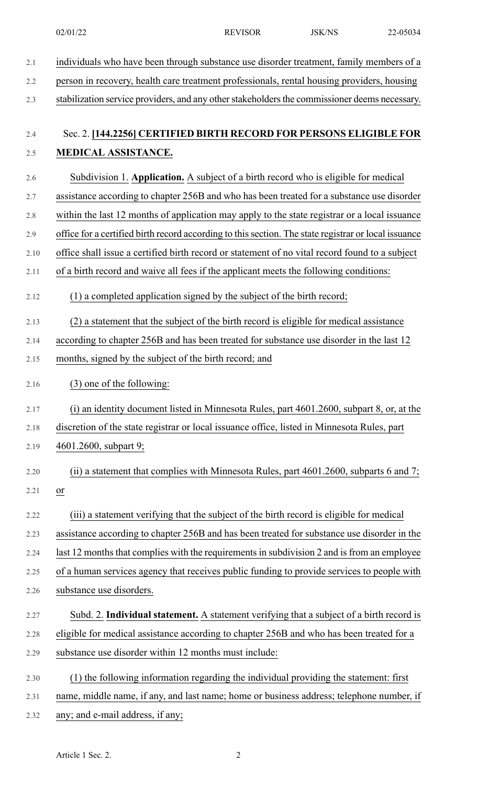| 2.1  | individuals who have been through substance use disorder treatment, family members of a              |
|------|------------------------------------------------------------------------------------------------------|
| 2.2  | person in recovery, health care treatment professionals, rental housing providers, housing           |
| 2.3  | stabilization service providers, and any other stakeholders the commissioner deems necessary.        |
| 2.4  | Sec. 2. [144,2256] CERTIFIED BIRTH RECORD FOR PERSONS ELIGIBLE FOR                                   |
| 2.5  | MEDICAL ASSISTANCE.                                                                                  |
| 2.6  | Subdivision 1. Application. A subject of a birth record who is eligible for medical                  |
| 2.7  | assistance according to chapter 256B and who has been treated for a substance use disorder           |
| 2.8  | within the last 12 months of application may apply to the state registrar or a local issuance        |
| 2.9  | office for a certified birth record according to this section. The state registrar or local issuance |
| 2.10 | office shall issue a certified birth record or statement of no vital record found to a subject       |
| 2.11 | of a birth record and waive all fees if the applicant meets the following conditions:                |
| 2.12 | (1) a completed application signed by the subject of the birth record;                               |
| 2.13 | (2) a statement that the subject of the birth record is eligible for medical assistance              |
| 2.14 | according to chapter 256B and has been treated for substance use disorder in the last 12             |
| 2.15 | months, signed by the subject of the birth record; and                                               |
| 2.16 | (3) one of the following:                                                                            |
| 2.17 | (i) an identity document listed in Minnesota Rules, part 4601.2600, subpart 8, or, at the            |
| 2.18 | discretion of the state registrar or local issuance office, listed in Minnesota Rules, part          |
| 2.19 | 4601.2600, subpart 9;                                                                                |
| 2.20 | (ii) a statement that complies with Minnesota Rules, part $4601.2600$ , subparts 6 and 7;            |
| 2.21 | $\frac{\text{or}}{\ }$                                                                               |
| 2.22 | (iii) a statement verifying that the subject of the birth record is eligible for medical             |
| 2.23 | assistance according to chapter 256B and has been treated for substance use disorder in the          |
| 2.24 | last 12 months that complies with the requirements in subdivision 2 and is from an employee          |
| 2.25 | of a human services agency that receives public funding to provide services to people with           |
| 2.26 | substance use disorders.                                                                             |
| 2.27 | Subd. 2. Individual statement. A statement verifying that a subject of a birth record is             |
| 2.28 | eligible for medical assistance according to chapter 256B and who has been treated for a             |
| 2.29 | substance use disorder within 12 months must include:                                                |
| 2.30 | (1) the following information regarding the individual providing the statement: first                |
| 2.31 | name, middle name, if any, and last name; home or business address; telephone number, if             |
| 2.32 | any; and e-mail address, if any;                                                                     |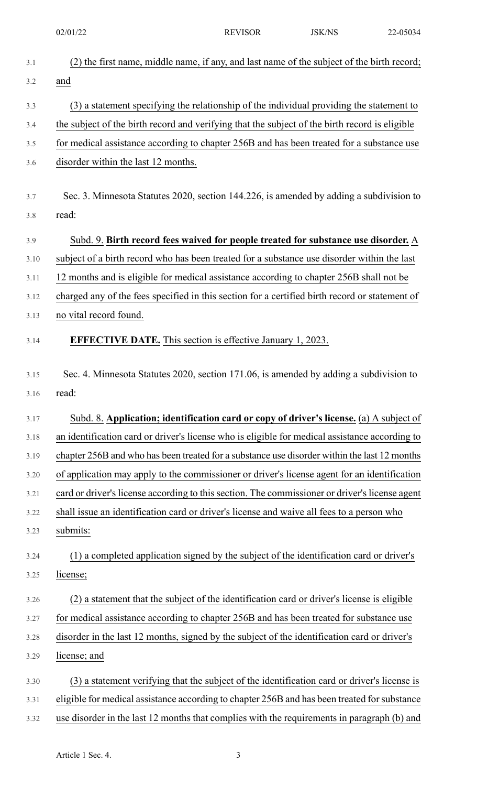02/01/22 REVISOR JSK/NS 22-05034

| 3.1  | (2) the first name, middle name, if any, and last name of the subject of the birth record;     |
|------|------------------------------------------------------------------------------------------------|
| 3.2  | and                                                                                            |
| 3.3  | (3) a statement specifying the relationship of the individual providing the statement to       |
| 3.4  | the subject of the birth record and verifying that the subject of the birth record is eligible |
| 3.5  | for medical assistance according to chapter 256B and has been treated for a substance use      |
| 3.6  | disorder within the last 12 months.                                                            |
|      |                                                                                                |
| 3.7  | Sec. 3. Minnesota Statutes 2020, section 144.226, is amended by adding a subdivision to        |
| 3.8  | read:                                                                                          |
| 3.9  | Subd. 9. Birth record fees waived for people treated for substance use disorder. A             |
| 3.10 | subject of a birth record who has been treated for a substance use disorder within the last    |
| 3.11 | 12 months and is eligible for medical assistance according to chapter 256B shall not be        |
| 3.12 | charged any of the fees specified in this section for a certified birth record or statement of |
| 3.13 | no vital record found.                                                                         |
| 3.14 | <b>EFFECTIVE DATE.</b> This section is effective January 1, 2023.                              |
|      |                                                                                                |
| 3.15 | Sec. 4. Minnesota Statutes 2020, section 171.06, is amended by adding a subdivision to         |
| 3.16 | read:                                                                                          |
| 3.17 | Subd. 8. Application; identification card or copy of driver's license. (a) A subject of        |
| 3.18 | an identification card or driver's license who is eligible for medical assistance according to |
| 3.19 | chapter 256B and who has been treated for a substance use disorder within the last 12 months   |
| 3.20 | of application may apply to the commissioner or driver's license agent for an identification   |
| 3.21 | card or driver's license according to this section. The commissioner or driver's license agent |
| 3.22 | shall issue an identification card or driver's license and waive all fees to a person who      |
| 3.23 | submits:                                                                                       |
| 3.24 | (1) a completed application signed by the subject of the identification card or driver's       |
| 3.25 | license;                                                                                       |
| 3.26 | (2) a statement that the subject of the identification card or driver's license is eligible    |
| 3.27 | for medical assistance according to chapter 256B and has been treated for substance use        |
| 3.28 | disorder in the last 12 months, signed by the subject of the identification card or driver's   |
| 3.29 | license; and                                                                                   |
|      |                                                                                                |
| 3.30 | (3) a statement verifying that the subject of the identification card or driver's license is   |
| 3.31 | eligible for medical assistance according to chapter 256B and has been treated for substance   |
| 3.32 | use disorder in the last 12 months that complies with the requirements in paragraph (b) and    |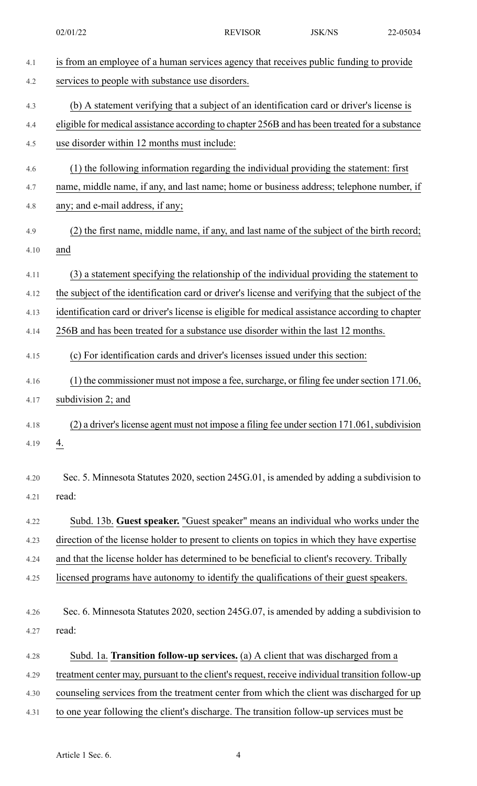| 4.1  | is from an employee of a human services agency that receives public funding to provide           |
|------|--------------------------------------------------------------------------------------------------|
| 4.2  | services to people with substance use disorders.                                                 |
| 4.3  | (b) A statement verifying that a subject of an identification card or driver's license is        |
| 4.4  | eligible for medical assistance according to chapter 256B and has been treated for a substance   |
| 4.5  | use disorder within 12 months must include:                                                      |
| 4.6  | (1) the following information regarding the individual providing the statement: first            |
| 4.7  | name, middle name, if any, and last name; home or business address; telephone number, if         |
| 4.8  | any; and e-mail address, if any;                                                                 |
| 4.9  | (2) the first name, middle name, if any, and last name of the subject of the birth record;       |
| 4.10 | and                                                                                              |
| 4.11 | (3) a statement specifying the relationship of the individual providing the statement to         |
| 4.12 | the subject of the identification card or driver's license and verifying that the subject of the |
| 4.13 | identification card or driver's license is eligible for medical assistance according to chapter  |
| 4.14 | 256B and has been treated for a substance use disorder within the last 12 months.                |
| 4.15 | (c) For identification cards and driver's licenses issued under this section:                    |
| 4.16 | (1) the commissioner must not impose a fee, surcharge, or filing fee under section 171.06,       |
| 4.17 | subdivision 2; and                                                                               |
| 4.18 | (2) a driver's license agent must not impose a filing fee under section 171.061, subdivision     |
| 4.19 | $\overline{4}$ .                                                                                 |
| 4.20 | Sec. 5. Minnesota Statutes 2020, section 245G.01, is amended by adding a subdivision to          |
| 4.21 | read:                                                                                            |
| 4.22 | Subd. 13b. Guest speaker. "Guest speaker" means an individual who works under the                |
| 4.23 | direction of the license holder to present to clients on topics in which they have expertise     |
| 4.24 | and that the license holder has determined to be beneficial to client's recovery. Tribally       |
| 4.25 | licensed programs have autonomy to identify the qualifications of their guest speakers.          |
|      |                                                                                                  |
| 4.26 | Sec. 6. Minnesota Statutes 2020, section 245G.07, is amended by adding a subdivision to          |
| 4.27 | read:                                                                                            |
| 4.28 | Subd. 1a. Transition follow-up services. (a) A client that was discharged from a                 |
| 4.29 | treatment center may, pursuant to the client's request, receive individual transition follow-up  |
| 4.30 | counseling services from the treatment center from which the client was discharged for up        |
| 4.31 | to one year following the client's discharge. The transition follow-up services must be          |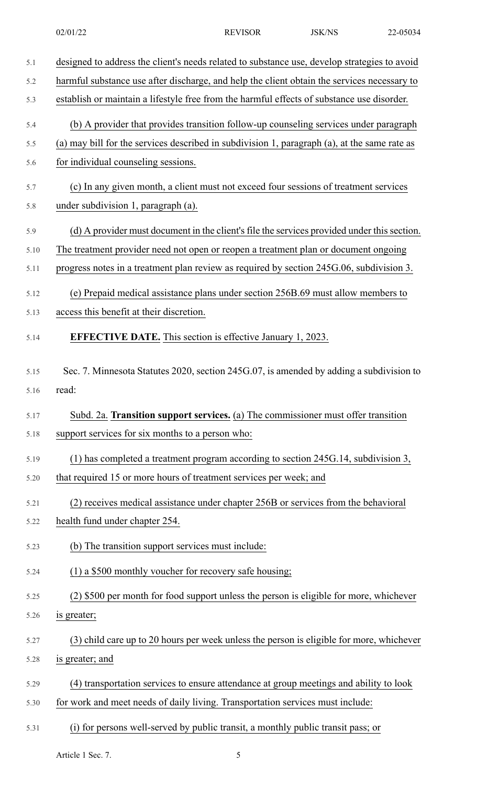5.1 designed to address the client's needs related to substance use, develop strategies to avoid 5.2 harmful substance use after discharge, and help the client obtain the services necessary to 5.3 establish or maintain a lifestyle free from the harmful effects of substance use disorder. 5.4 (b) A provider that provides transition follow-up counseling services under paragraph 5.5 (a) may bill for the services described in subdivision 1, paragraph (a), at the same rate as 5.6 for individual counseling sessions. 5.7 (c) In any given month, a client must not exceed four sessions of treatment services 5.8 under subdivision 1, paragraph (a). 5.9 (d) A provider must document in the client's file the services provided under this section. 5.10 The treatment provider need not open or reopen a treatment plan or document ongoing 5.11 progress notes in a treatment plan review as required by section 245G.06, subdivision 3. 5.12 (e) Prepaid medical assistance plans under section 256B.69 must allow members to 5.13 access this benefit at their discretion. 5.14 **EFFECTIVE DATE.** This section is effective January 1, 2023. 5.15 Sec. 7. Minnesota Statutes 2020, section 245G.07, is amended by adding a subdivision to 5.16 read: 5.17 Subd. 2a. **Transition support services.** (a) The commissioner must offer transition 5.18 support services for six months to a person who: 5.19 (1) has completed a treatment program according to section 245G.14, subdivision 3, 5.20 that required 15 or more hours of treatment services per week; and 5.21 (2) receives medical assistance under chapter 256B or services from the behavioral 5.22 health fund under chapter 254. 5.23 (b) The transition support services must include: 5.24 (1) a \$500 monthly voucher for recovery safe housing; 5.25 (2) \$500 per month for food support unless the person is eligible for more, whichever 5.26 is greater; 5.27 (3) child care up to 20 hours per week unless the person is eligible for more, whichever 5.28 is greater; and 5.29 (4) transportation services to ensure attendance at group meetings and ability to look 5.30 for work and meet needs of daily living. Transportation services must include: 5.31 (i) for persons well-served by public transit, a monthly public transit pass; or

Article 1 Sec. 7.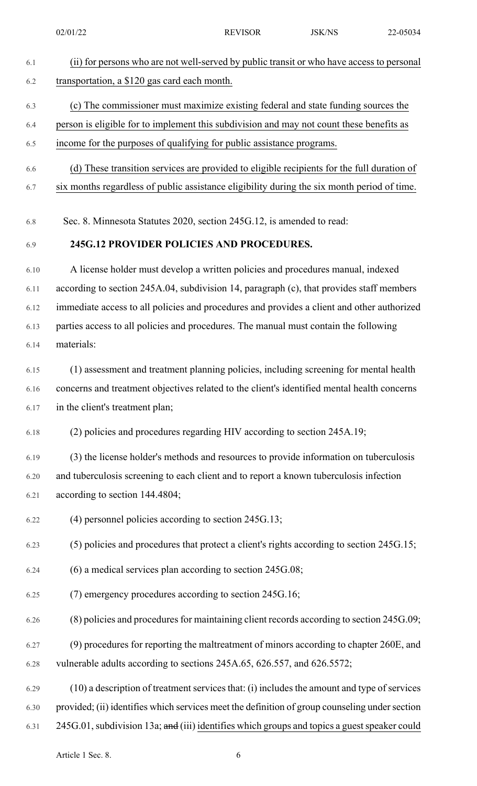## 6.1 (ii) for persons who are not well-served by public transit or who have access to personal 6.2 transportation, a \$120 gas card each month.

### 6.3 (c) The commissioner must maximize existing federal and state funding sources the

#### 6.4 person is eligible for to implement this subdivision and may not count these benefits as

- 6.5 income for the purposes of qualifying for public assistance programs.
- 6.6 (d) These transition services are provided to eligible recipients for the full duration of
- 6.7 six months regardless of public assistance eligibility during the six month period of time.
- 6.8 Sec. 8. Minnesota Statutes 2020, section 245G.12, is amended to read:

#### 6.9 **245G.12 PROVIDER POLICIES AND PROCEDURES.**

6.10 A license holder must develop a written policies and procedures manual, indexed 6.11 according to section 245A.04, subdivision 14, paragraph (c), that provides staff members 6.12 immediate access to all policies and procedures and provides a client and other authorized 6.13 parties access to all policies and procedures. The manual must contain the following 6.14 materials:

6.15 (1) assessment and treatment planning policies, including screening for mental health 6.16 concerns and treatment objectives related to the client's identified mental health concerns 6.17 in the client's treatment plan;

6.18 (2) policies and procedures regarding HIV according to section 245A.19;

6.19 (3) the license holder's methods and resources to provide information on tuberculosis 6.20 and tuberculosis screening to each client and to report a known tuberculosis infection 6.21 according to section 144.4804;

6.22 (4) personnel policies according to section 245G.13;

6.23 (5) policies and procedures that protect a client's rights according to section 245G.15;

- 6.24 (6) a medical services plan according to section 245G.08;
- 6.25 (7) emergency procedures according to section 245G.16;
- $6.26$  (8) policies and procedures for maintaining client records according to section 245G.09;
- 6.27 (9) procedures for reporting the maltreatment of minors according to chapter 260E, and 6.28 vulnerable adults according to sections 245A.65, 626.557, and 626.5572;
- 6.29 (10) a description of treatment services that: (i) includes the amount and type of services 6.30 provided; (ii) identifies which services meet the definition of group counseling undersection
- 6.31 245G.01, subdivision 13a; and (iii) identifies which groups and topics a guest speaker could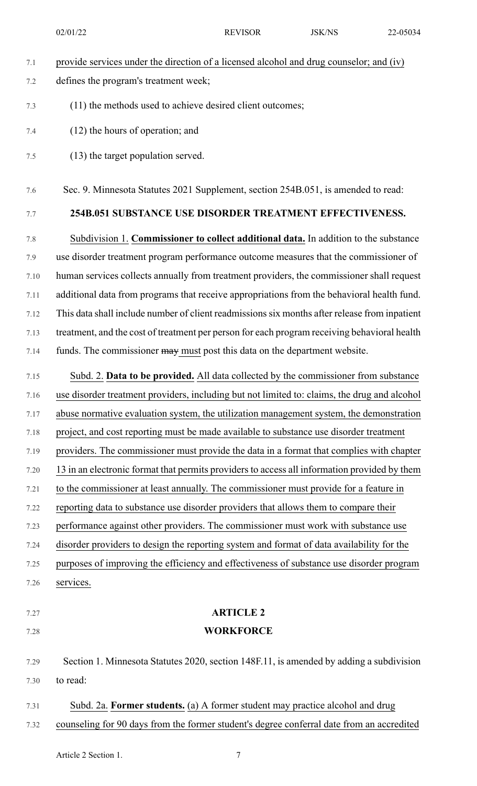02/01/22 REVISOR JSK/NS 22-05034

| 7.1  | provide services under the direction of a licensed alcohol and drug counselor; and (iv)       |
|------|-----------------------------------------------------------------------------------------------|
| 7.2  | defines the program's treatment week;                                                         |
| 7.3  | (11) the methods used to achieve desired client outcomes;                                     |
| 7.4  | $(12)$ the hours of operation; and                                                            |
| 7.5  | (13) the target population served.                                                            |
| 7.6  | Sec. 9. Minnesota Statutes 2021 Supplement, section 254B.051, is amended to read:             |
| 7.7  | 254B.051 SUBSTANCE USE DISORDER TREATMENT EFFECTIVENESS.                                      |
| 7.8  | Subdivision 1. Commissioner to collect additional data. In addition to the substance          |
| 7.9  | use disorder treatment program performance outcome measures that the commissioner of          |
| 7.10 | human services collects annually from treatment providers, the commissioner shall request     |
| 7.11 | additional data from programs that receive appropriations from the behavioral health fund.    |
| 7.12 | This data shall include number of client readmissions six months after release from inpatient |
| 7.13 | treatment, and the cost of treatment per person for each program receiving behavioral health  |
| 7.14 | funds. The commissioner may must post this data on the department website.                    |
| 7.15 | Subd. 2. Data to be provided. All data collected by the commissioner from substance           |
| 7.16 | use disorder treatment providers, including but not limited to: claims, the drug and alcohol  |
| 7.17 | abuse normative evaluation system, the utilization management system, the demonstration       |
| 7.18 | project, and cost reporting must be made available to substance use disorder treatment        |
| 7.19 | providers. The commissioner must provide the data in a format that complies with chapter      |
| 7.20 | 13 in an electronic format that permits providers to access all information provided by them  |
| 7.21 | to the commissioner at least annually. The commissioner must provide for a feature in         |
| 7.22 | reporting data to substance use disorder providers that allows them to compare their          |
| 7.23 | performance against other providers. The commissioner must work with substance use            |
| 7.24 | disorder providers to design the reporting system and format of data availability for the     |
| 7.25 | purposes of improving the efficiency and effectiveness of substance use disorder program      |
| 7.26 | services.                                                                                     |
| 7.27 | <b>ARTICLE 2</b>                                                                              |
| 7.28 | <b>WORKFORCE</b>                                                                              |
| 7.29 | Section 1. Minnesota Statutes 2020, section 148F.11, is amended by adding a subdivision       |
| 7.30 | to read:                                                                                      |
| 7.31 | Subd. 2a. Former students. (a) A former student may practice alcohol and drug                 |
| 7.32 | counseling for 90 days from the former student's degree conferral date from an accredited     |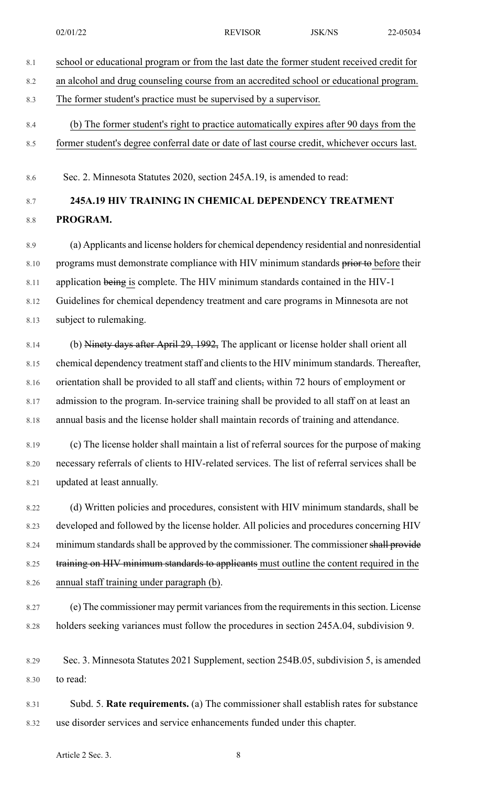| an alcohol and drug counseling course from an accredited school or educational program.<br>The former student's practice must be supervised by a supervisor.<br>(b) The former student's right to practice automatically expires after 90 days from the<br>former student's degree conferral date or date of last course credit, whichever occurs last.<br>Sec. 2. Minnesota Statutes 2020, section 245A.19, is amended to read:<br>245A.19 HIV TRAINING IN CHEMICAL DEPENDENCY TREATMENT<br>PROGRAM.<br>(a) Applicants and license holders for chemical dependency residential and nonresidential<br>programs must demonstrate compliance with HIV minimum standards prior to before their<br>application being is complete. The HIV minimum standards contained in the HIV-1<br>Guidelines for chemical dependency treatment and care programs in Minnesota are not<br>subject to rulemaking.<br>(b) Ninety days after April 29, 1992, The applicant or license holder shall orient all<br>chemical dependency treatment staff and clients to the HIV minimum standards. Thereafter,<br>orientation shall be provided to all staff and clients, within 72 hours of employment or<br>admission to the program. In-service training shall be provided to all staff on at least an<br>annual basis and the license holder shall maintain records of training and attendance.<br>(c) The license holder shall maintain a list of referral sources for the purpose of making<br>necessary referrals of clients to HIV-related services. The list of referral services shall be |  |
|-----------------------------------------------------------------------------------------------------------------------------------------------------------------------------------------------------------------------------------------------------------------------------------------------------------------------------------------------------------------------------------------------------------------------------------------------------------------------------------------------------------------------------------------------------------------------------------------------------------------------------------------------------------------------------------------------------------------------------------------------------------------------------------------------------------------------------------------------------------------------------------------------------------------------------------------------------------------------------------------------------------------------------------------------------------------------------------------------------------------------------------------------------------------------------------------------------------------------------------------------------------------------------------------------------------------------------------------------------------------------------------------------------------------------------------------------------------------------------------------------------------------------------------------------------------------------------|--|
|                                                                                                                                                                                                                                                                                                                                                                                                                                                                                                                                                                                                                                                                                                                                                                                                                                                                                                                                                                                                                                                                                                                                                                                                                                                                                                                                                                                                                                                                                                                                                                             |  |
|                                                                                                                                                                                                                                                                                                                                                                                                                                                                                                                                                                                                                                                                                                                                                                                                                                                                                                                                                                                                                                                                                                                                                                                                                                                                                                                                                                                                                                                                                                                                                                             |  |
|                                                                                                                                                                                                                                                                                                                                                                                                                                                                                                                                                                                                                                                                                                                                                                                                                                                                                                                                                                                                                                                                                                                                                                                                                                                                                                                                                                                                                                                                                                                                                                             |  |
|                                                                                                                                                                                                                                                                                                                                                                                                                                                                                                                                                                                                                                                                                                                                                                                                                                                                                                                                                                                                                                                                                                                                                                                                                                                                                                                                                                                                                                                                                                                                                                             |  |
|                                                                                                                                                                                                                                                                                                                                                                                                                                                                                                                                                                                                                                                                                                                                                                                                                                                                                                                                                                                                                                                                                                                                                                                                                                                                                                                                                                                                                                                                                                                                                                             |  |
|                                                                                                                                                                                                                                                                                                                                                                                                                                                                                                                                                                                                                                                                                                                                                                                                                                                                                                                                                                                                                                                                                                                                                                                                                                                                                                                                                                                                                                                                                                                                                                             |  |
|                                                                                                                                                                                                                                                                                                                                                                                                                                                                                                                                                                                                                                                                                                                                                                                                                                                                                                                                                                                                                                                                                                                                                                                                                                                                                                                                                                                                                                                                                                                                                                             |  |
|                                                                                                                                                                                                                                                                                                                                                                                                                                                                                                                                                                                                                                                                                                                                                                                                                                                                                                                                                                                                                                                                                                                                                                                                                                                                                                                                                                                                                                                                                                                                                                             |  |
|                                                                                                                                                                                                                                                                                                                                                                                                                                                                                                                                                                                                                                                                                                                                                                                                                                                                                                                                                                                                                                                                                                                                                                                                                                                                                                                                                                                                                                                                                                                                                                             |  |
|                                                                                                                                                                                                                                                                                                                                                                                                                                                                                                                                                                                                                                                                                                                                                                                                                                                                                                                                                                                                                                                                                                                                                                                                                                                                                                                                                                                                                                                                                                                                                                             |  |
|                                                                                                                                                                                                                                                                                                                                                                                                                                                                                                                                                                                                                                                                                                                                                                                                                                                                                                                                                                                                                                                                                                                                                                                                                                                                                                                                                                                                                                                                                                                                                                             |  |
|                                                                                                                                                                                                                                                                                                                                                                                                                                                                                                                                                                                                                                                                                                                                                                                                                                                                                                                                                                                                                                                                                                                                                                                                                                                                                                                                                                                                                                                                                                                                                                             |  |
|                                                                                                                                                                                                                                                                                                                                                                                                                                                                                                                                                                                                                                                                                                                                                                                                                                                                                                                                                                                                                                                                                                                                                                                                                                                                                                                                                                                                                                                                                                                                                                             |  |
|                                                                                                                                                                                                                                                                                                                                                                                                                                                                                                                                                                                                                                                                                                                                                                                                                                                                                                                                                                                                                                                                                                                                                                                                                                                                                                                                                                                                                                                                                                                                                                             |  |
|                                                                                                                                                                                                                                                                                                                                                                                                                                                                                                                                                                                                                                                                                                                                                                                                                                                                                                                                                                                                                                                                                                                                                                                                                                                                                                                                                                                                                                                                                                                                                                             |  |
|                                                                                                                                                                                                                                                                                                                                                                                                                                                                                                                                                                                                                                                                                                                                                                                                                                                                                                                                                                                                                                                                                                                                                                                                                                                                                                                                                                                                                                                                                                                                                                             |  |
|                                                                                                                                                                                                                                                                                                                                                                                                                                                                                                                                                                                                                                                                                                                                                                                                                                                                                                                                                                                                                                                                                                                                                                                                                                                                                                                                                                                                                                                                                                                                                                             |  |
|                                                                                                                                                                                                                                                                                                                                                                                                                                                                                                                                                                                                                                                                                                                                                                                                                                                                                                                                                                                                                                                                                                                                                                                                                                                                                                                                                                                                                                                                                                                                                                             |  |
|                                                                                                                                                                                                                                                                                                                                                                                                                                                                                                                                                                                                                                                                                                                                                                                                                                                                                                                                                                                                                                                                                                                                                                                                                                                                                                                                                                                                                                                                                                                                                                             |  |
| updated at least annually.                                                                                                                                                                                                                                                                                                                                                                                                                                                                                                                                                                                                                                                                                                                                                                                                                                                                                                                                                                                                                                                                                                                                                                                                                                                                                                                                                                                                                                                                                                                                                  |  |
| (d) Written policies and procedures, consistent with HIV minimum standards, shall be                                                                                                                                                                                                                                                                                                                                                                                                                                                                                                                                                                                                                                                                                                                                                                                                                                                                                                                                                                                                                                                                                                                                                                                                                                                                                                                                                                                                                                                                                        |  |
| developed and followed by the license holder. All policies and procedures concerning HIV                                                                                                                                                                                                                                                                                                                                                                                                                                                                                                                                                                                                                                                                                                                                                                                                                                                                                                                                                                                                                                                                                                                                                                                                                                                                                                                                                                                                                                                                                    |  |
| minimum standards shall be approved by the commissioner. The commissioner shall provide                                                                                                                                                                                                                                                                                                                                                                                                                                                                                                                                                                                                                                                                                                                                                                                                                                                                                                                                                                                                                                                                                                                                                                                                                                                                                                                                                                                                                                                                                     |  |
| training on HIV minimum standards to applicants must outline the content required in the                                                                                                                                                                                                                                                                                                                                                                                                                                                                                                                                                                                                                                                                                                                                                                                                                                                                                                                                                                                                                                                                                                                                                                                                                                                                                                                                                                                                                                                                                    |  |
| annual staff training under paragraph (b).                                                                                                                                                                                                                                                                                                                                                                                                                                                                                                                                                                                                                                                                                                                                                                                                                                                                                                                                                                                                                                                                                                                                                                                                                                                                                                                                                                                                                                                                                                                                  |  |
| (e) The commissioner may permit variances from the requirements in this section. License                                                                                                                                                                                                                                                                                                                                                                                                                                                                                                                                                                                                                                                                                                                                                                                                                                                                                                                                                                                                                                                                                                                                                                                                                                                                                                                                                                                                                                                                                    |  |
| holders seeking variances must follow the procedures in section 245A.04, subdivision 9.                                                                                                                                                                                                                                                                                                                                                                                                                                                                                                                                                                                                                                                                                                                                                                                                                                                                                                                                                                                                                                                                                                                                                                                                                                                                                                                                                                                                                                                                                     |  |
| Sec. 3. Minnesota Statutes 2021 Supplement, section 254B.05, subdivision 5, is amended                                                                                                                                                                                                                                                                                                                                                                                                                                                                                                                                                                                                                                                                                                                                                                                                                                                                                                                                                                                                                                                                                                                                                                                                                                                                                                                                                                                                                                                                                      |  |
| to read:                                                                                                                                                                                                                                                                                                                                                                                                                                                                                                                                                                                                                                                                                                                                                                                                                                                                                                                                                                                                                                                                                                                                                                                                                                                                                                                                                                                                                                                                                                                                                                    |  |
| Subd. 5. Rate requirements. (a) The commissioner shall establish rates for substance                                                                                                                                                                                                                                                                                                                                                                                                                                                                                                                                                                                                                                                                                                                                                                                                                                                                                                                                                                                                                                                                                                                                                                                                                                                                                                                                                                                                                                                                                        |  |
| use disorder services and service enhancements funded under this chapter.                                                                                                                                                                                                                                                                                                                                                                                                                                                                                                                                                                                                                                                                                                                                                                                                                                                                                                                                                                                                                                                                                                                                                                                                                                                                                                                                                                                                                                                                                                   |  |
| Article 2 Sec. 3.<br>8                                                                                                                                                                                                                                                                                                                                                                                                                                                                                                                                                                                                                                                                                                                                                                                                                                                                                                                                                                                                                                                                                                                                                                                                                                                                                                                                                                                                                                                                                                                                                      |  |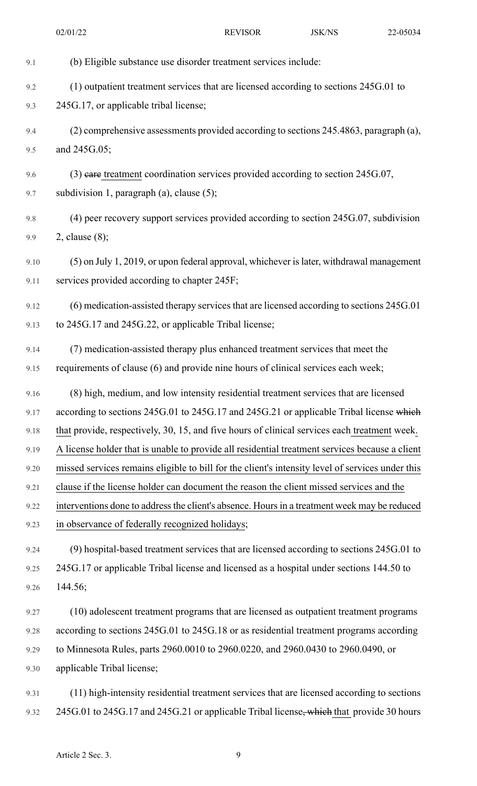02/01/22 REVISOR JSK/NS 22-05034

| 9.1  | (b) Eligible substance use disorder treatment services include:                                  |
|------|--------------------------------------------------------------------------------------------------|
| 9.2  | (1) outpatient treatment services that are licensed according to sections 245G.01 to             |
| 9.3  | 245G.17, or applicable tribal license;                                                           |
| 9.4  | (2) comprehensive assessments provided according to sections 245.4863, paragraph (a),            |
| 9.5  | and 245G.05;                                                                                     |
| 9.6  | $(3)$ eare treatment coordination services provided according to section 245G.07,                |
| 9.7  | subdivision 1, paragraph $(a)$ , clause $(5)$ ;                                                  |
| 9.8  | (4) peer recovery support services provided according to section 245G.07, subdivision            |
| 9.9  | 2, clause $(8)$ ;                                                                                |
|      |                                                                                                  |
| 9.10 | (5) on July 1, 2019, or upon federal approval, whichever is later, withdrawal management         |
| 9.11 | services provided according to chapter 245F;                                                     |
| 9.12 | (6) medication-assisted therapy services that are licensed according to sections 245G.01         |
| 9.13 | to 245G.17 and 245G.22, or applicable Tribal license;                                            |
| 9.14 | (7) medication-assisted therapy plus enhanced treatment services that meet the                   |
| 9.15 | requirements of clause (6) and provide nine hours of clinical services each week;                |
| 9.16 | (8) high, medium, and low intensity residential treatment services that are licensed             |
| 9.17 | according to sections 245G.01 to 245G.17 and 245G.21 or applicable Tribal license which          |
| 9.18 | that provide, respectively, 30, 15, and five hours of clinical services each treatment week.     |
| 9.19 | A license holder that is unable to provide all residential treatment services because a client   |
| 9.20 | missed services remains eligible to bill for the client's intensity level of services under this |
| 9.21 | clause if the license holder can document the reason the client missed services and the          |
| 9.22 | interventions done to address the client's absence. Hours in a treatment week may be reduced     |
| 9.23 | in observance of federally recognized holidays;                                                  |
| 9.24 | (9) hospital-based treatment services that are licensed according to sections 245G.01 to         |
| 9.25 | 245G.17 or applicable Tribal license and licensed as a hospital under sections 144.50 to         |
| 9.26 | 144.56;                                                                                          |
| 9.27 | (10) adolescent treatment programs that are licensed as outpatient treatment programs            |
| 9.28 | according to sections 245G.01 to 245G.18 or as residential treatment programs according          |
| 9.29 | to Minnesota Rules, parts 2960.0010 to 2960.0220, and 2960.0430 to 2960.0490, or                 |
| 9.30 | applicable Tribal license;                                                                       |
| 9.31 | (11) high-intensity residential treatment services that are licensed according to sections       |
| 9.32 | 245G.01 to 245G.17 and 245G.21 or applicable Tribal license, which that provide 30 hours         |
|      |                                                                                                  |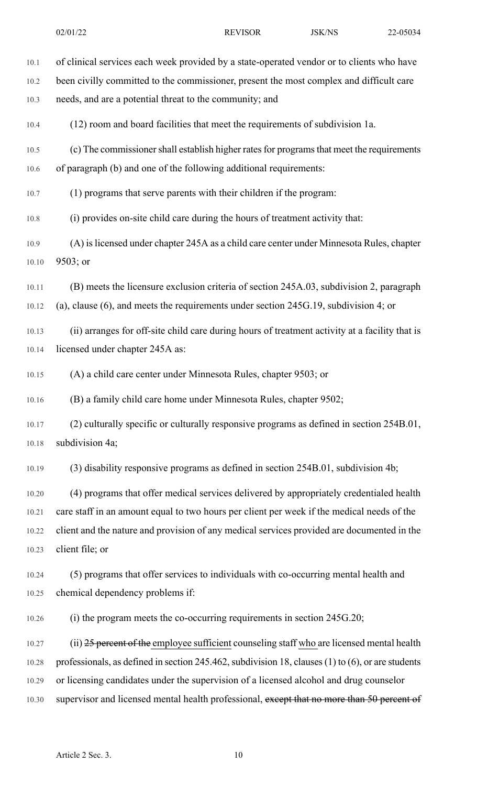| 10.1  | of clinical services each week provided by a state-operated vendor or to clients who have              |
|-------|--------------------------------------------------------------------------------------------------------|
| 10.2  | been civilly committed to the commissioner, present the most complex and difficult care                |
| 10.3  | needs, and are a potential threat to the community; and                                                |
| 10.4  | (12) room and board facilities that meet the requirements of subdivision 1a.                           |
| 10.5  | (c) The commissioner shall establish higher rates for programs that meet the requirements              |
| 10.6  | of paragraph (b) and one of the following additional requirements:                                     |
| 10.7  | (1) programs that serve parents with their children if the program:                                    |
| 10.8  | (i) provides on-site child care during the hours of treatment activity that:                           |
| 10.9  | (A) is licensed under chapter 245A as a child care center under Minnesota Rules, chapter               |
| 10.10 | 9503; or                                                                                               |
| 10.11 | (B) meets the licensure exclusion criteria of section 245A.03, subdivision 2, paragraph                |
| 10.12 | (a), clause $(6)$ , and meets the requirements under section 245G.19, subdivision 4; or                |
| 10.13 | (ii) arranges for off-site child care during hours of treatment activity at a facility that is         |
| 10.14 | licensed under chapter 245A as:                                                                        |
| 10.15 | (A) a child care center under Minnesota Rules, chapter 9503; or                                        |
| 10.16 | (B) a family child care home under Minnesota Rules, chapter 9502;                                      |
| 10.17 | (2) culturally specific or culturally responsive programs as defined in section 254B.01,               |
| 10.18 | subdivision 4a;                                                                                        |
| 10.19 | (3) disability responsive programs as defined in section 254B.01, subdivision 4b;                      |
| 10.20 | (4) programs that offer medical services delivered by appropriately credentialed health                |
| 10.21 | care staff in an amount equal to two hours per client per week if the medical needs of the             |
| 10.22 | client and the nature and provision of any medical services provided are documented in the             |
| 10.23 | client file; or                                                                                        |
| 10.24 | (5) programs that offer services to individuals with co-occurring mental health and                    |
| 10.25 | chemical dependency problems if:                                                                       |
| 10.26 | (i) the program meets the co-occurring requirements in section 245G.20;                                |
| 10.27 | (ii) 25 percent of the employee sufficient counseling staff who are licensed mental health             |
| 10.28 | professionals, as defined in section 245.462, subdivision 18, clauses $(1)$ to $(6)$ , or are students |
| 10.29 | or licensing candidates under the supervision of a licensed alcohol and drug counselor                 |
| 10.30 | supervisor and licensed mental health professional, except that no more than 50 percent of             |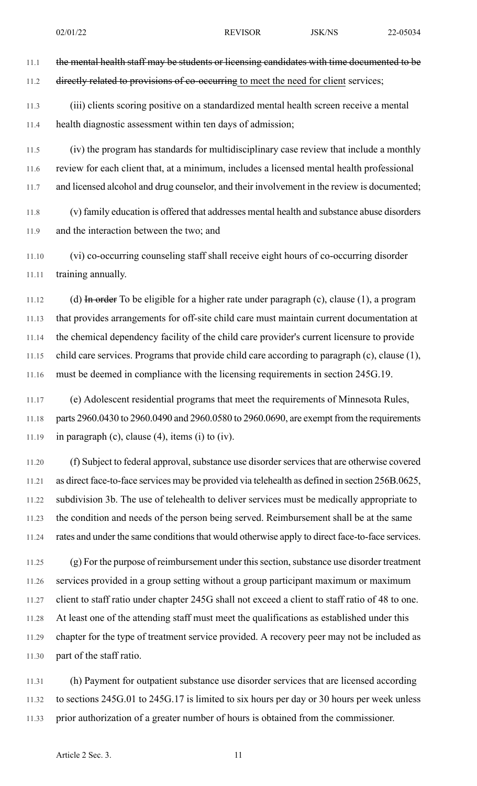11.1 the mental health staff may be students or licensing candidates with time documented to be 11.2 directly related to provisions of co-occurring to meet the need for client services;

11.3 (iii) clients scoring positive on a standardized mental health screen receive a mental 11.4 health diagnostic assessment within ten days of admission;

11.5 (iv) the program has standards for multidisciplinary case review that include a monthly 11.6 review for each client that, at a minimum, includes a licensed mental health professional 11.7 and licensed alcohol and drug counselor, and their involvement in the review is documented;

11.8 (v) family education is offered that addresses mental health and substance abuse disorders 11.9 and the interaction between the two; and

11.10 (vi) co-occurring counseling staff shall receive eight hours of co-occurring disorder 11.11 training annually.

11.12 (d) In order To be eligible for a higher rate under paragraph (c), clause (1), a program 11.13 that provides arrangements for off-site child care must maintain current documentation at 11.14 the chemical dependency facility of the child care provider's current licensure to provide 11.15 child care services. Programs that provide child care according to paragraph (c), clause (1), 11.16 must be deemed in compliance with the licensing requirements in section 245G.19.

11.17 (e) Adolescent residential programs that meet the requirements of Minnesota Rules, 11.18 parts 2960.0430 to 2960.0490 and 2960.0580 to 2960.0690, are exempt from the requirements 11.19 in paragraph (c), clause  $(4)$ , items  $(i)$  to  $(iv)$ .

11.20 (f) Subject to federal approval, substance use disorder services that are otherwise covered 11.21 as direct face-to-face services may be provided via telehealth as defined in section 256B.0625, 11.22 subdivision 3b. The use of telehealth to deliver services must be medically appropriate to 11.23 the condition and needs of the person being served. Reimbursement shall be at the same 11.24 rates and under the same conditions that would otherwise apply to direct face-to-face services.

11.25 (g) For the purpose of reimbursement under thissection,substance use disorder treatment 11.26 services provided in a group setting without a group participant maximum or maximum 11.27 client to staff ratio under chapter 245G shall not exceed a client to staff ratio of 48 to one. 11.28 At least one of the attending staff must meet the qualifications as established under this 11.29 chapter for the type of treatment service provided. A recovery peer may not be included as 11.30 part of the staff ratio.

11.31 (h) Payment for outpatient substance use disorder services that are licensed according 11.32 to sections 245G.01 to 245G.17 is limited to six hours per day or 30 hours per week unless 11.33 prior authorization of a greater number of hours is obtained from the commissioner.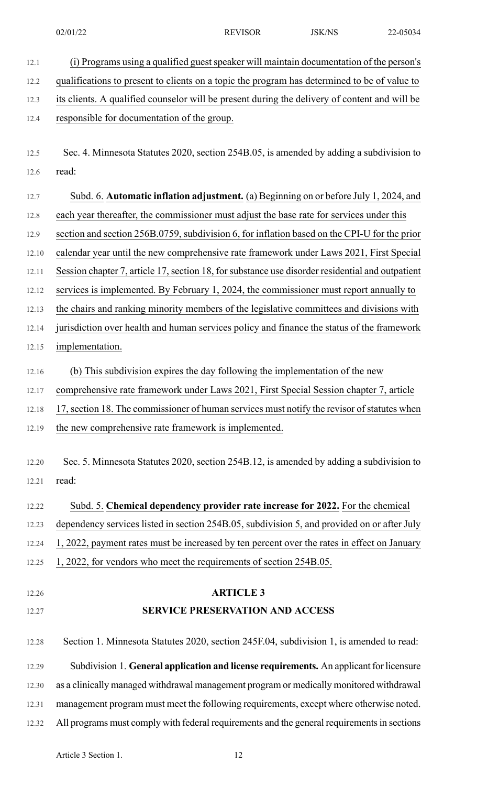12.1 (i) Programs using a qualified guest speaker will maintain documentation of the person's

12.2 qualifications to present to clients on a topic the program has determined to be of value to 12.3 its clients. A qualified counselor will be present during the delivery of content and will be 12.4 responsible for documentation of the group. 12.5 Sec. 4. Minnesota Statutes 2020, section 254B.05, is amended by adding a subdivision to 12.6 read: 12.7 Subd. 6. **Automatic inflation adjustment.** (a) Beginning on or before July 1, 2024, and 12.8 each year thereafter, the commissioner must adjust the base rate for services under this 12.9 section and section 256B.0759, subdivision 6, for inflation based on the CPI-U for the prior 12.10 calendar year until the new comprehensive rate framework under Laws 2021, First Special 12.11 Session chapter 7, article 17, section 18, for substance use disorder residential and outpatient 12.12 services is implemented. By February 1, 2024, the commissioner must report annually to 12.13 the chairs and ranking minority members of the legislative committees and divisions with 12.14 jurisdiction over health and human services policy and finance the status of the framework 12.15 implementation. 12.16 (b) This subdivision expires the day following the implementation of the new 12.17 comprehensive rate framework under Laws 2021, First Special Session chapter 7, article 12.18 17, section 18. The commissioner of human services must notify the revisor of statutes when 12.19 the new comprehensive rate framework is implemented. 12.20 Sec. 5. Minnesota Statutes 2020, section 254B.12, is amended by adding a subdivision to 12.21 read: 12.22 Subd. 5. **Chemical dependency provider rate increase for 2022.** For the chemical 12.23 dependency services listed in section 254B.05, subdivision 5, and provided on or after July 12.24 1, 2022, payment rates must be increased by ten percent over the rates in effect on January 12.25 1, 2022, for vendors who meet the requirements of section 254B.05. 12.26 **ARTICLE 3** 12.27 **SERVICE PRESERVATION AND ACCESS** 12.28 Section 1. Minnesota Statutes 2020, section 245F.04, subdivision 1, is amended to read: 12.29 Subdivision 1. **General application and license requirements.** An applicant for licensure 12.30 as a clinically managed withdrawal management program or medically monitored withdrawal 12.31 management program must meet the following requirements, except where otherwise noted. 12.32 All programs must comply with federal requirements and the general requirements in sections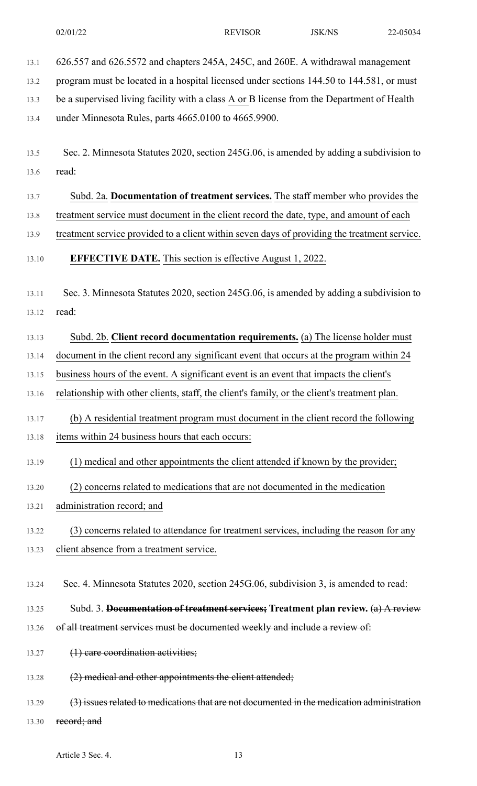13.1 626.557 and 626.5572 and chapters 245A, 245C, and 260E. A withdrawal management 13.2 program must be located in a hospital licensed under sections 144.50 to 144.581, or must

13.3 be a supervised living facility with a class A or B license from the Department of Health

13.4 under Minnesota Rules, parts 4665.0100 to 4665.9900.

- 13.5 Sec. 2. Minnesota Statutes 2020, section 245G.06, is amended by adding a subdivision to 13.6 read:
- 13.7 Subd. 2a. **Documentation of treatment services.** The staff member who provides the
- 13.8 treatment service must document in the client record the date, type, and amount of each
- 13.9 treatment service provided to a client within seven days of providing the treatment service.

13.10 **EFFECTIVE DATE.** This section is effective August 1, 2022.

13.11 Sec. 3. Minnesota Statutes 2020, section 245G.06, is amended by adding a subdivision to 13.12 read:

13.13 Subd. 2b. **Client record documentation requirements.** (a) The license holder must

13.14 document in the client record any significant event that occurs at the program within 24

13.15 business hours of the event. A significant event is an event that impacts the client's

13.16 relationship with other clients, staff, the client's family, or the client's treatment plan.

- 13.17 (b) A residential treatment program must document in the client record the following 13.18 items within 24 business hours that each occurs:
- 13.19 (1) medical and other appointments the client attended if known by the provider;
- 13.20 (2) concerns related to medications that are not documented in the medication
- 13.21 administration record; and

13.22 (3) concerns related to attendance for treatment services, including the reason for any 13.23 client absence from a treatment service.

- 13.24 Sec. 4. Minnesota Statutes 2020, section 245G.06, subdivision 3, is amended to read:
- 13.25 Subd. 3. **Documentation of treatment services; Treatment plan review.** (a) A review
- 13.26 of all treatment services must be documented weekly and include a review of:
- 13.27 (1) care coordination activities;
- 13.28 (2) medical and other appointments the client attended;
- 13.29 (3) issues related to medications that are not documented in the medication administration
- 13.30 record; and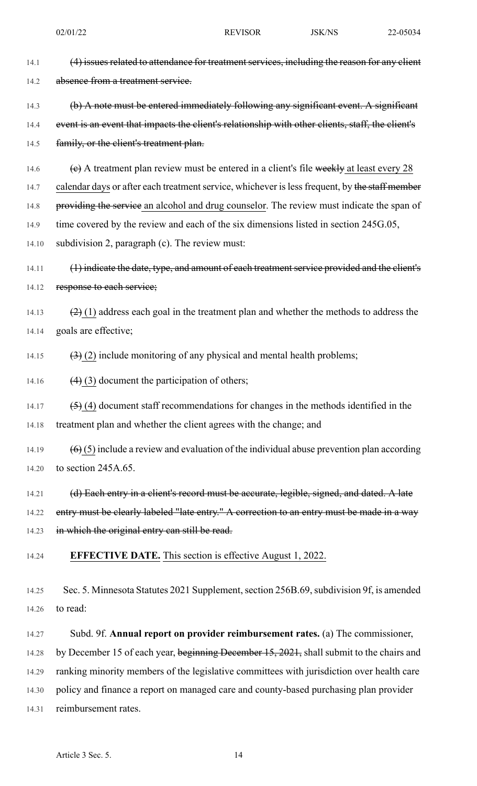14.1 (4) issues related to attendance for treatment services, including the reason for any client 14.2 absence from a treatment service. 14.3 (b) A note must be entered immediately following any significant event. A significant 14.4 event is an event that impacts the client's relationship with other clients, staff, the client's 14.5 family, or the client's treatment plan. 14.6  $\left\langle \epsilon \right\rangle$  A treatment plan review must be entered in a client's file weekly at least every 28 14.7 calendar days or after each treatment service, whichever is less frequent, by the staff member 14.8 providing the service an alcohol and drug counselor. The review must indicate the span of 14.9 time covered by the review and each of the six dimensions listed in section 245G.05, 14.10 subdivision 2, paragraph (c). The review must: 14.11 (1) indicate the date, type, and amount of each treatment service provided and the client's 14.12 response to each service; 14.13  $(2)(1)$  address each goal in the treatment plan and whether the methods to address the 14.14 goals are effective; 14.15  $(3)(2)$  include monitoring of any physical and mental health problems; 14.16  $(4)$  (3) document the participation of others; 14.17  $(5)$  (4) document staff recommendations for changes in the methods identified in the 14.18 treatment plan and whether the client agrees with the change; and 14.19  $(6)(5)$  include a review and evaluation of the individual abuse prevention plan according 14.20 to section 245A.65. 14.21 (d) Each entry in a client's record must be accurate, legible, signed, and dated. A late 14.22 entry must be elearly labeled "late entry." A correction to an entry must be made in a way 14.23 in which the original entry can still be read. 14.24 **EFFECTIVE DATE.** This section is effective August 1, 2022. 14.25 Sec. 5. Minnesota Statutes 2021 Supplement, section 256B.69, subdivision 9f, is amended 14.26 to read: 14.27 Subd. 9f. **Annual report on provider reimbursement rates.** (a) The commissioner, 14.28 by December 15 of each year, beginning December 15, 2021, shall submit to the chairs and 14.29 ranking minority members of the legislative committees with jurisdiction over health care 14.30 policy and finance a report on managed care and county-based purchasing plan provider 14.31 reimbursement rates.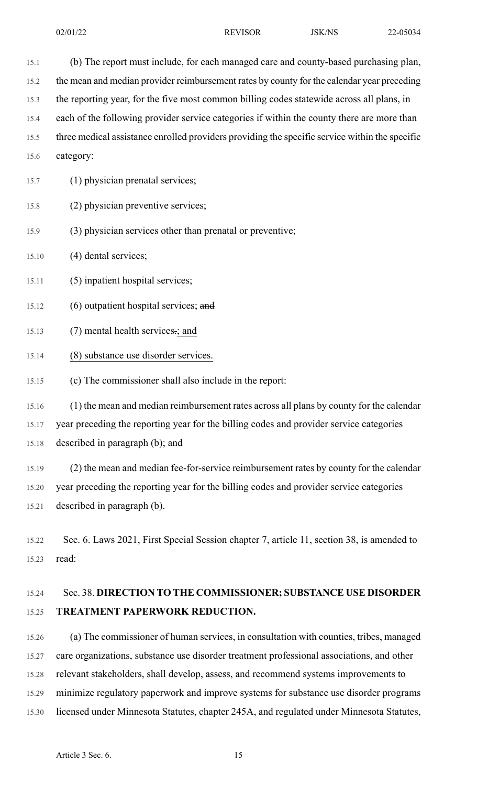15.1 (b) The report must include, for each managed care and county-based purchasing plan, 15.2 the mean and median provider reimbursement rates by county for the calendar year preceding 15.3 the reporting year, for the five most common billing codes statewide across all plans, in 15.4 each of the following provider service categories if within the county there are more than 15.5 three medical assistance enrolled providers providing the specific service within the specific 15.6 category: 15.7 (1) physician prenatal services; 15.8 (2) physician preventive services; 15.9 (3) physician services other than prenatal or preventive; 15.10 (4) dental services; 15.11 (5) inpatient hospital services; 15.12 (6) outpatient hospital services; and 15.13 (7) mental health services.; and 15.14 (8) substance use disorder services. 15.15 (c) The commissioner shall also include in the report: 15.16 (1) the mean and median reimbursement rates across all plans by county for the calendar 15.17 year preceding the reporting year for the billing codes and provider service categories 15.18 described in paragraph (b); and 15.19 (2) the mean and median fee-for-service reimbursement rates by county for the calendar 15.20 year preceding the reporting year for the billing codes and provider service categories 15.21 described in paragraph (b). 15.22 Sec. 6. Laws 2021, First Special Session chapter 7, article 11, section 38, is amended to 15.23 read: 15.24 Sec. 38. **DIRECTION TO THE COMMISSIONER; SUBSTANCE USE DISORDER**

# 15.25 **TREATMENT PAPERWORK REDUCTION.**

15.26 (a) The commissioner of human services, in consultation with counties, tribes, managed 15.27 care organizations, substance use disorder treatment professional associations, and other 15.28 relevant stakeholders, shall develop, assess, and recommend systems improvements to 15.29 minimize regulatory paperwork and improve systems for substance use disorder programs 15.30 licensed under Minnesota Statutes, chapter 245A, and regulated under Minnesota Statutes,